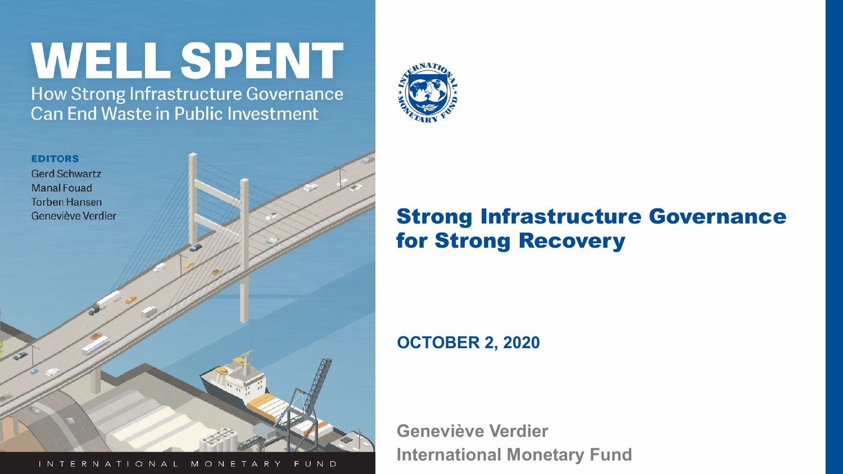# **WELL SPENT**

How Strong Infrastructure Governance **Can End Waste in Public Investment** 





### INTERNATIONAL MONETARY FUND THE COMMON HISTORIC PROPERTY COMMONS

### Strong Infrastructure Governance for Strong Recovery

### **OCTOBER 2, 2020**

**Geneviève Verdier International Monetary Fund**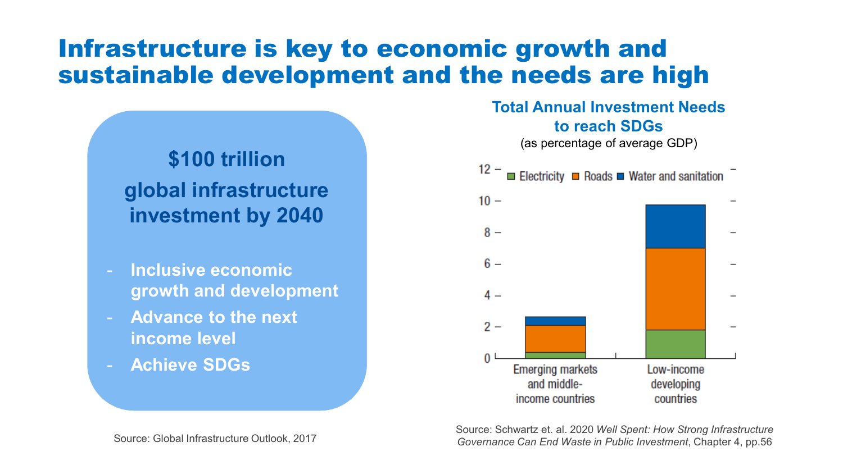### Infrastructure is key to economic growth and sustainable development and the needs are high

### **\$100 trillion global infrastructure investment by 2040**

- **Inclusive economic growth and development**
- **Advance to the next income level**
- **Achieve SDGs**

# **Total Annual Investment Needs to reach SDGs** (as percentage of average GDP) $12 -$ Electricity **E** Roads **E** Water and sanitation



Source: Schwartz et. al. 2020 *Well Spent: How Strong Infrastructure Governance Can End Waste in Public Investment*, Chapter 4, pp.56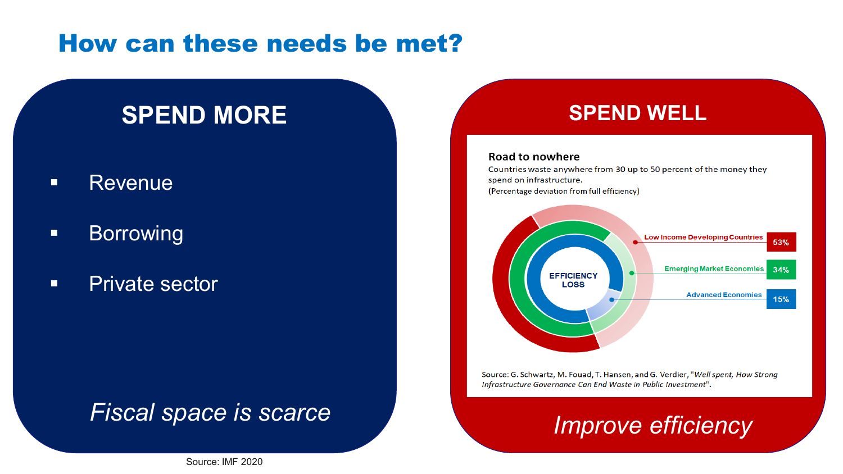### How can these needs be met?

### **SPEND MORE And SPEND WELL**

- **Revenue**
- **Borrowing**
- **Private sector**

### *Fiscal space is scarce*

### **Road to nowhere**

Countries waste anywhere from 30 up to 50 percent of the money they spend on infrastructure. (Percentage deviation from full efficiency)



Source: G. Schwartz, M. Fouad, T. Hansen, and G. Verdier, "Well spent, How Strong Infrastructure Governance Can End Waste in Public Investment".

## *Improve efficiency*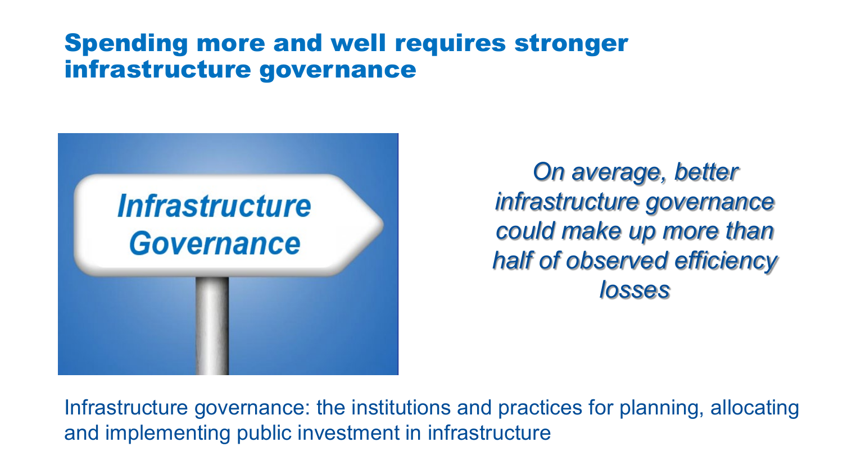### Spending more and well requires stronger infrastructure governance



*On average, better infrastructure governance could make up more than half of observed efficiency losses*

Infrastructure governance: the institutions and practices for planning, allocating and implementing public investment in infrastructure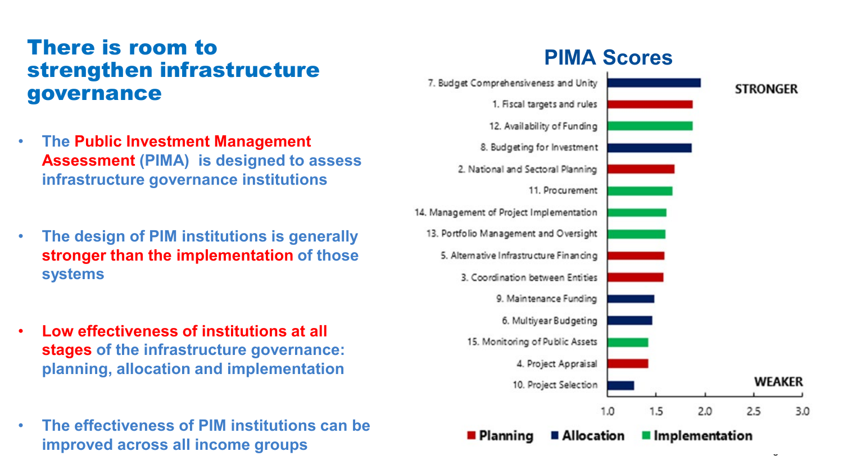### **PIMA Scores** There is room to strengthen infrastructure governance

- **The Public Investment Management Assessment (PIMA) is designed to assess infrastructure governance institutions**
- **The design of PIM institutions is generally stronger than the implementation of those systems**
- **Low effectiveness of institutions at all stages of the infrastructure governance: planning, allocation and implementation**
- **The effectiveness of PIM institutions can be improved across all income groups**

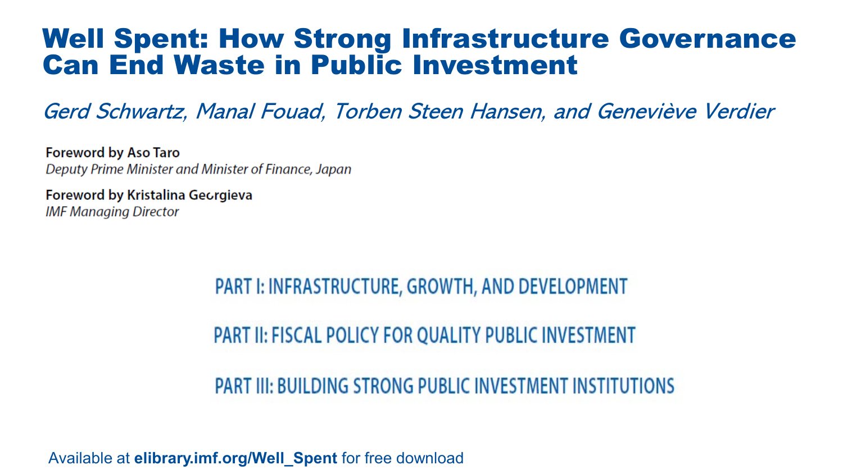### Well Spent: How Strong Infrastructure Governance Can End Waste in Public Investment

Gerd Schwartz, Manal Fouad, Torben Steen Hansen, and Geneviève Verdier

**Foreword by Aso Taro** Deputy Prime Minister and Minister of Finance, Japan

**Foreword by Kristalina Georgieva IMF Managing Director** 

> **PART I: INFRASTRUCTURE, GROWTH, AND DEVELOPMENT PART II: FISCAL POLICY FOR QUALITY PUBLIC INVESTMENT**

**PART III: BUILDING STRONG PUBLIC INVESTMENT INSTITUTIONS** 

Available at **elibrary.imf.org/Well\_Spent** for free download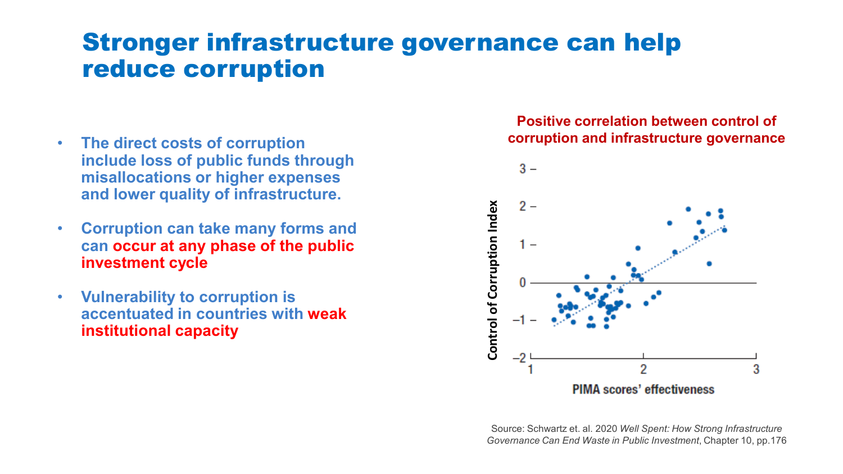### Stronger infrastructure governance can help reduce corruption

- **The direct costs of corruption include loss of public funds through misallocations or higher expenses and lower quality of infrastructure.**
- **Corruption can take many forms and can occur at any phase of the public investment cycle**
- **Vulnerability to corruption is accentuated in countries with weak institutional capacity**

### **Positive correlation between control of corruption and infrastructure governance**



Source: Schwartz et. al. 2020 *Well Spent: How Strong Infrastructure*